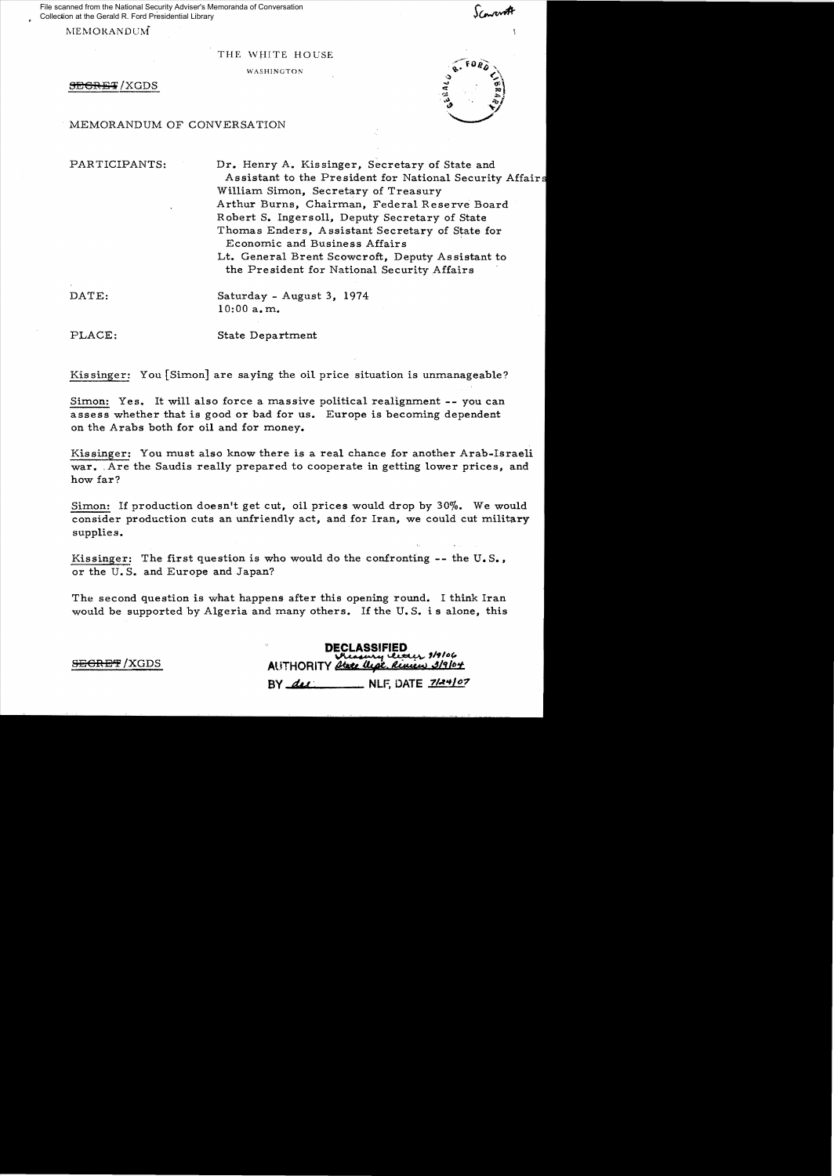File scanned from the National Security Adviser's Memoranda of Conversation Collection at the Gerald R. Ford Presidential Library

MEMORANDUM

## THE WHITE HOUSE

WASHINGTON

SECRET/XGDS

MEMORANDUM OF CONVERSATION

PARTICIPANTS: Dr. Henry A. Kissinger, Secretary of State and Assistant to the President for National Security Affair William Simon, Secretary of Treasury Arthur Burns, Chairman, Federal Reserve Board Robert S. Ingersoll, Deputy Secretary of State Thomas Enders, A ssistant Secretary of State for Economic and Business Affairs

Lt. General Brent Scowcroft, Deputy Assistant to the President for National Security Affairs

DATE: Saturday - August 3, 1974 10:00 a.m.

PLACE: State Department

Kissinger: You [Simon] are saying the oil price situation is unmanageable?

Simon: Yes. It will also force a massive political realignment -- you can assess whether that is good or bad for us. Europe is becoming dependent on the Arabs both for oil and for money.

Kissinger: You must also know there is a real chance for another Arab-Israeli war. Are the Saudis really prepared to cooperate in getting lower prices, and how far?

Simon: If production doesn't get cut, oil prices would drop by 30%. We would consider production cuts an unfriendly act, and for Iran, we could cut military supplies.

Kissinger: The first question is who would do the confronting  $-$ - the U.S., or the U. S. and Europe and Japan?

The second question is what happens after this opening round. I think Iran would be supported by Algeria and many others. If the U. S. is alone, this

DECLASSIFIED<br>- Pressury letter 1/9/06<br>Y Atele Ucol, Riview 3/9/07 **SEGRET** /XGDS AUTHORITY 2tate the

 $BY$   $\frac{d\mu}{d\mu}$  NLF, DATE  $\frac{7}{4}\frac{4}{9}$ 

ari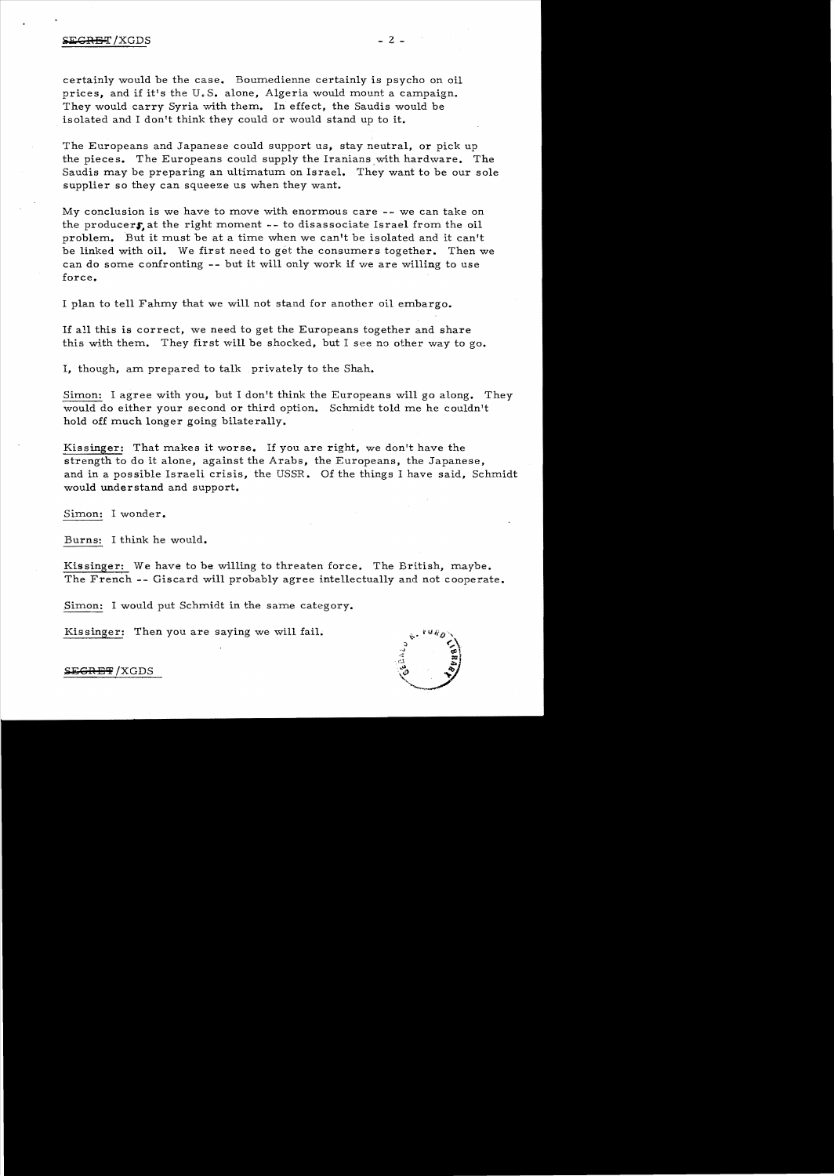certainly would be the case. Boumedienne certainly is psycho on oil prices, and if it's the U. S. alone, Algeria would mount a campaign. They would carry Syria with them. In effect, the Saudis would be isolated and I don't think they could or would stand up to it.

The Europeans and Japanese could support us, stay neutral, or pick up the pieces. The Europeans could supply the Iranians with hardware. The Saudis may be preparing an ultimatum on Israel. They want to be our sole supplier so they can squeeze us when they want.

My conclusion is we have to move with enormous care -- we can take on the producers at the right moment  $-$ - to disassociate Israel from the oil problem. But it must be at a time when we can't be isolated and it can't be linked with oil. We first need to get the consumers together. Then we can do some confronting -- but it will only work if we are willing to use force.

I plan to tell Fahmy that we will not stand for another oil embargo.

If all this is correct, we need to get the Europeans together and share this with them. They first will be shocked, but I see no other way to go.

I, though, am prepared to talk privately to the Shah.

Simon: I agree with you, but I don't think the Europeans will go along. They would do either your second or third option. Schmidt told me he couldn't hold off much longer going bilaterally.

Kissinger: That makes it worse. If you are right, we don't have the strength to do it alone, against the Arabs, the Europeans, the Japanese, and in a possible Israeli crisis, the USSR. Of the things I have said, Schmidt would understand and support.

Simon: I wonder.

Burns: I think he would.

Kissinger: We have to be willing to threaten force. The British, maybe. The French -- Giscard will probably agree intellectually and not cooperate.

Simon: I would put Schmidt in the same category.

Kissinger: Then you are saying we will fail.



**SEGRET/XGDS**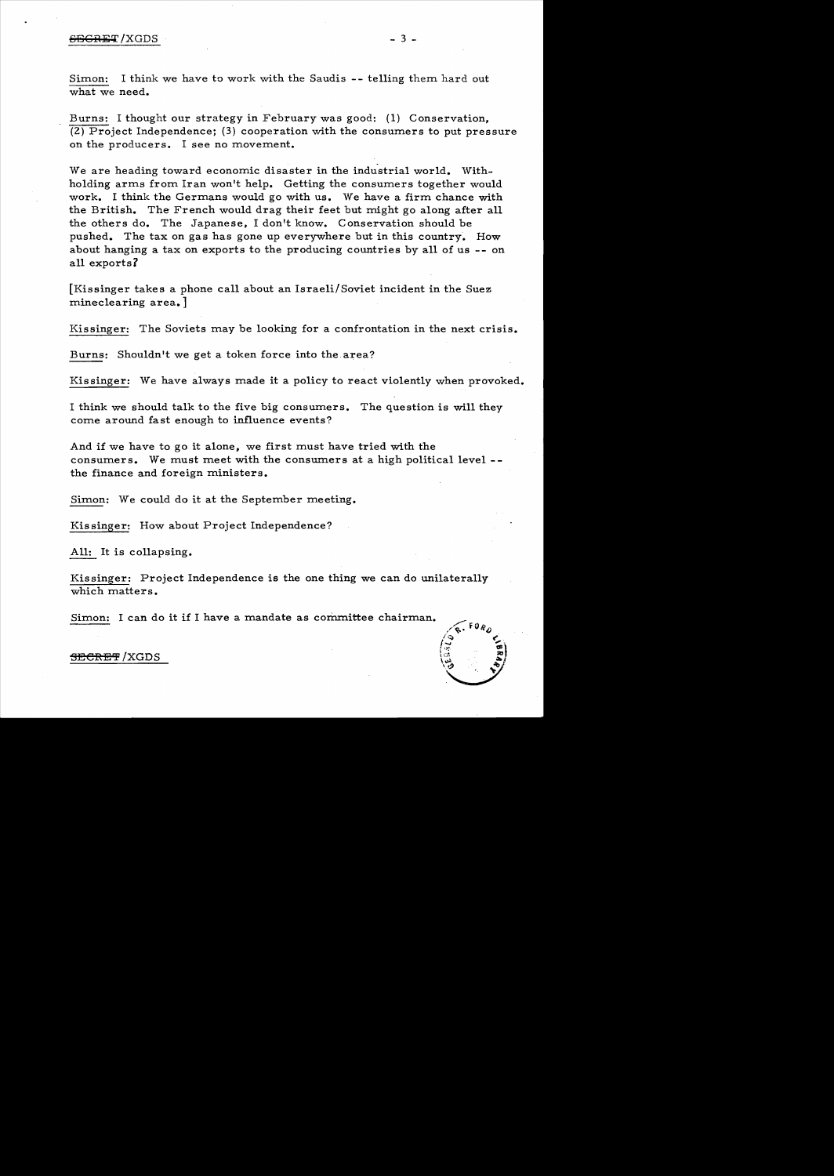Simon: I think we have to work with the Saudis -- telling them hard out what we need.

Burns: I thought our strategy in February was good: (1) Conservation, (2) Project Independence; (3) cooperation with the consumers to put pressure on the producers. I see no movement.

We are heading toward economic disaster in the industrial world. Withholding arms from Iran won't help. Getting the consumers together would work. I think the Germans would go with us. We have a firm chance with the British. The French would drag their feet but might go along after all the others do. The Japanese, I don't know. Conservation should be pushed. The tax on gas has gone up everywhere but in this country. How about hanging a tax on exports to the producing countries by all of us -- on all exports?

[Kissinger takes a phone call about an Israeli/Soviet incident in the Suez mineclearing area.

Kissinger: The Soviets may be looking for a confrontation in the next crisis.

Burns: Shouldn't we get a token force into the area?

Kissinger: We have always made it a policy to react violently when provoked.

I think we should talk to the five big consumers. The question is will they corne around fast enough to influence events?

And if we have to go it alone, we first must have tried with the consumers. We must meet with the consumers at a high political level the finance and foreign ministers.

Simon: We could do it at the September meeting.

Kissinger: How about Project Independence?

All: It is collapsing.

Kissinger: Project Independence is the one thing we can do unilaterally which matters.

Simon: I can do it if I have a mandate as committee chairman.



## <del>SECRET</del> /XGDS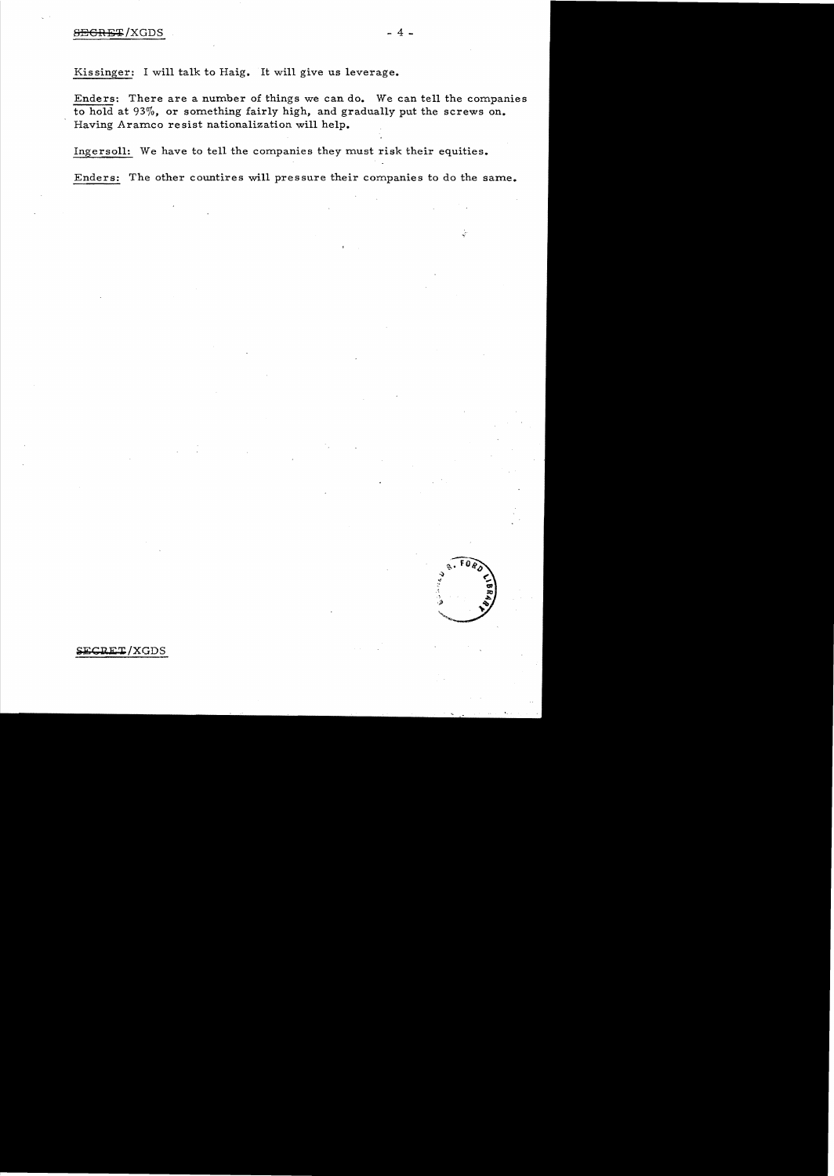Kissinger: I will talk to Haig. It will give us leverage.

Enders: There are a number of things we can do. We can tell the companies to hold at 93%, or something fairly high, and gradually put the screws on. Having Aramco resist nationalization will help.

Ingersoll: We have to tell the companies they must risk their equities.

Enders: The other countires will pressure their companies to do the same.

**CRET/XGDS**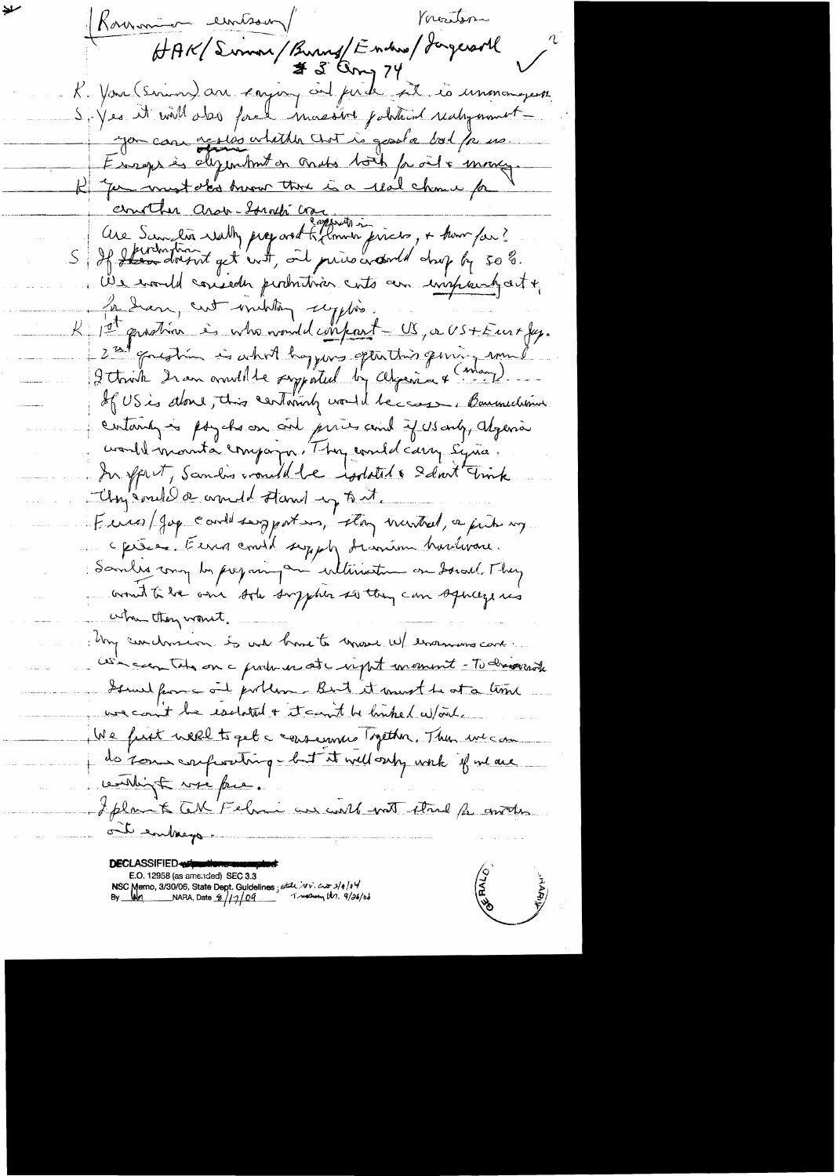Vocastor Rommon embour HAK/Simon/Burns/Enders/ Jagersoll K. You (Simon) au cajoin cit par le 22 és unemmergent S. Yes it will also force massive political realignmentyou can actes whith that is good a bol / p us. Europe às dépendant on cords toil proits mong. K "for innot obt troon the is a real chance for ernother arou souché comme prieto, + homps ? We would conseder permitives cuts am impression of In Sear, cut military scyptis. K 1st quation is who would conferent - US, a US+Eur+ fux. 2 al goughin is what hoppers often this german rom Itaint 2 an avenuelle supported by Algeria & (May). certainly is pay cho on only prices and if US only, Algebra would mounta company. They could carry syria In sprit, Sandis vould be isolated & Solat Fink Université de correct d'Aard up tout Euros/Jag could surpport in, they winted, a just my opére Euro conti supply descrien hardware. Samles comy by prejoing and internation on Socal . They wound to be one sole supplier so they can squice , when they want. : Uny cardonsen. So will have to move will encannons care. us can take on a produise at input moment - To draw and Gerner from a one portlan - Birt it must be at a time we count be esclated + it can't be linked w/out. We furt well to get a conserver system. Then we can do zone conferating-but it well only work if we are weaking to we know. I plan à CM Felmi en could not étail fr autres The endeavour

E.O. 12958 (as amended) SEC 3.3<br>NSC Memo, 3/30/06, State Dept. Guidelines, state ivide and 10 1/9/04<br>By My Man MARA, Date  $\frac{6}{7}/7$  09 Treasury the 9/26/06

**RALIS**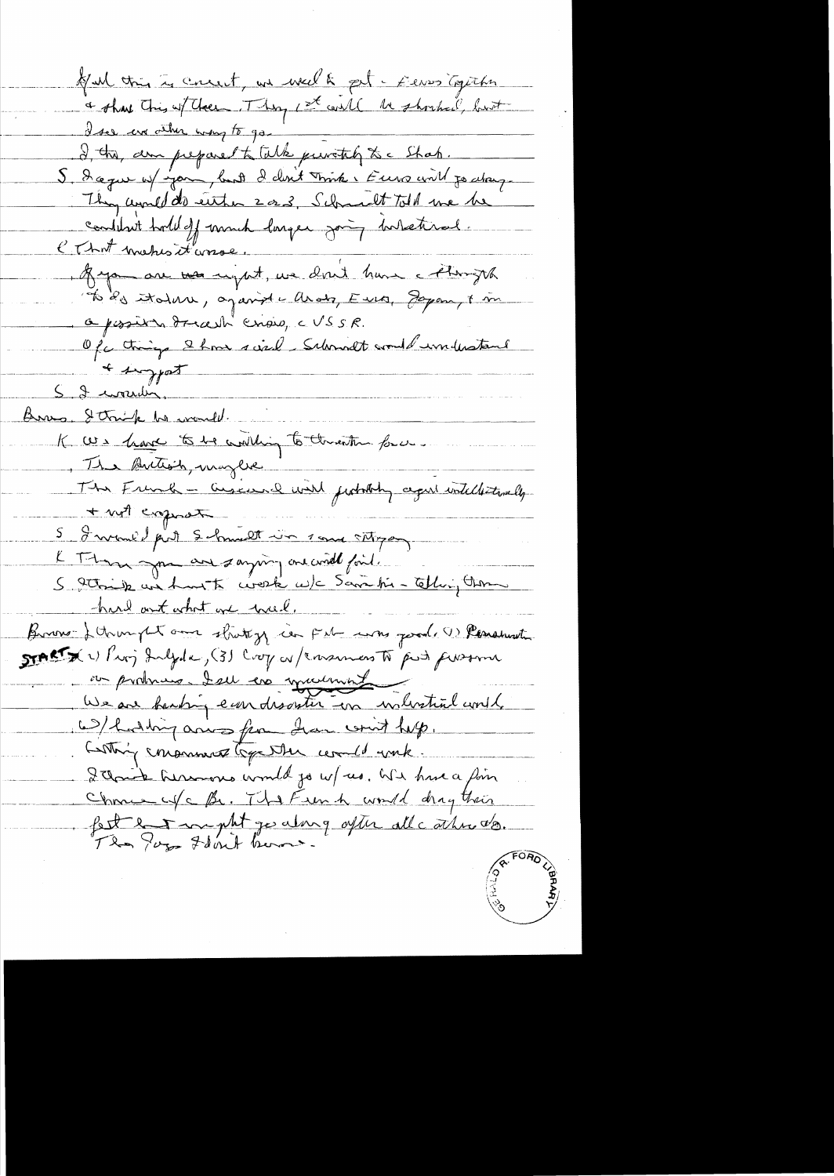Kul this is concert, we well & pet - Eleves Capitha a show this wither They It will be shocked, but I see error there was to go I this, am preparent talk puritily to a Shak. S. Dague of you, but I don't mink i Euro with je along.<br>They would do either 2 or 3, Schmalt told we be<br>combined told off much larger going internal. 1 Ryon au ver night, we don't have a thought To de italise, against allows, Euro, Joyan, 8 m O possible dreadh crois, c USSR. Of things I have sind Schandt would understand + suggest 5 2 mourdin Bras, String he would. K We have to be willing to the entire force. The Button, maybe The French - Givene with fishing agent intelliterally + not express 5 I would put Schmalt in some stroppen L Thom you are saying one wild find. 5 trois une huite céreste ce)c Savatie Elligten hard out what are wel. Brown-Jetrusy and strating in Feb was good. (1) Personate START X 1) Proj Inlyde, (3) Crop as / Ensumers to push funsome ou produin deu cré mournit W/ hoding arisofun draw with help. Lothing conserved Gga where comed with. Itaine hermons would go w/ us. We have a foin Chance of C Br. The French would drag their fett en manuel y along after all cathrists.